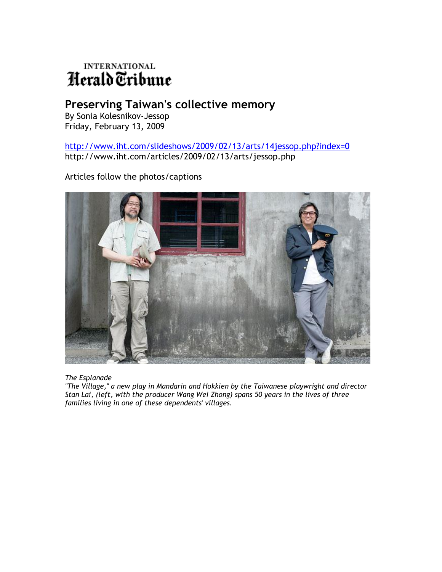## **INTERNATIONAL** Herald Tribune

## **Preserving Taiwan's collective memory**

By Sonia Kolesnikov-Jessop Friday, February 13, 2009

<http://www.iht.com/slideshows/2009/02/13/arts/14jessop.php?index=0> http://www.iht.com/articles/2009/02/13/arts/jessop.php

Articles follow the photos/captions



*The Esplanade*

*"The Village," a new play in Mandarin and Hokkien by the Taiwanese playwright and director Stan Lai, (left, with the producer Wang Wei Zhong) spans 50 years in the lives of three families living in one of these dependents' villages.*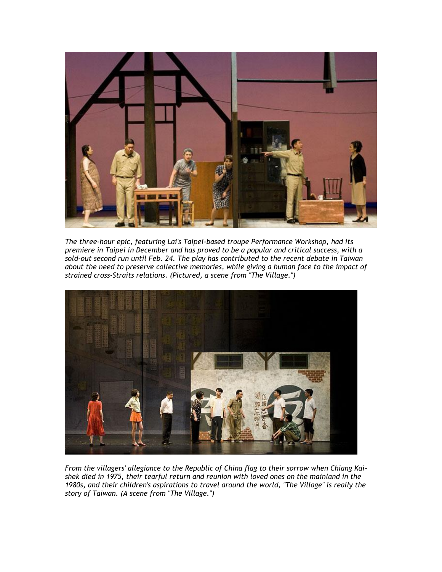

*The three-hour epic, featuring Lai's Taipei-based troupe Performance Workshop, had its premiere in Taipei in December and has proved to be a popular and critical success, with a sold-out second run until Feb. 24. The play has contributed to the recent debate in Taiwan about the need to preserve collective memories, while giving a human face to the impact of strained cross-Straits relations. (Pictured, a scene from "The Village.")*



*From the villagers' allegiance to the Republic of China flag to their sorrow when Chiang Kaishek died in 1975, their tearful return and reunion with loved ones on the mainland in the 1980s, and their children's aspirations to travel around the world, "The Village" is really the story of Taiwan. (A scene from "The Village.")*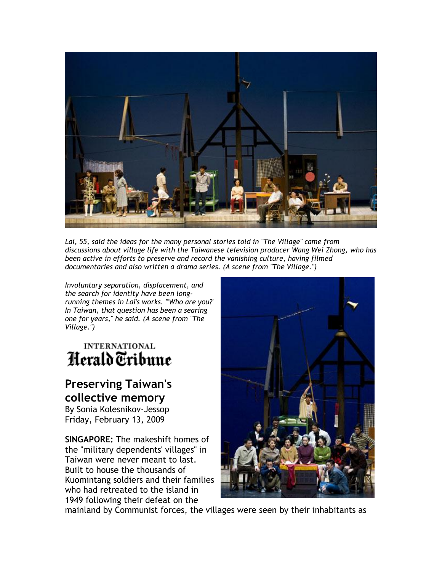

Lai, 55, said the ideas for the many personal stories told in "The Village" came from *discussions about village life with the Taiwanese television producer Wang Wei Zhong, who has been active in efforts to preserve and record the vanishing culture, having filmed documentaries and also written a drama series. (A scene from "The Village.")*

*Involuntary separation, displacement, and the search for identity have been longrunning themes in Lai's works. "'Who are you?' In Taiwan, that question has been a searing one for years," he said. (A scene from "The Village.")*

## **INTERNATIONAL** Herald Tribune

## **Preserving Taiwan's collective memory**

By Sonia Kolesnikov-Jessop Friday, February 13, 2009

**SINGAPORE:** The makeshift homes of the "military dependents' villages" in Taiwan were never meant to last. Built to house the thousands of Kuomintang soldiers and their families who had retreated to the island in 1949 following their defeat on the



mainland by Communist forces, the villages were seen by their inhabitants as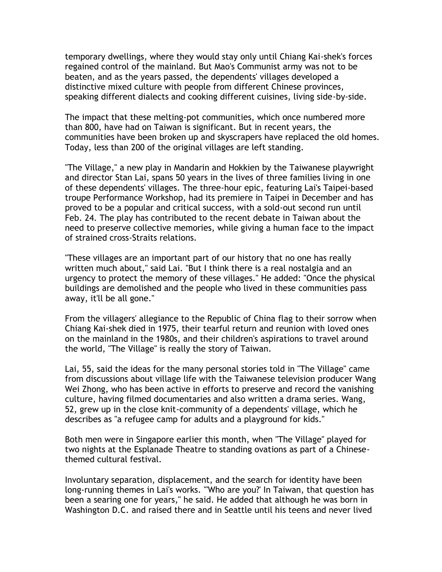temporary dwellings, where they would stay only until Chiang Kai-shek's forces regained control of the mainland. But Mao's Communist army was not to be beaten, and as the years passed, the dependents' villages developed a distinctive mixed culture with people from different Chinese provinces, speaking different dialects and cooking different cuisines, living side-by-side.

The impact that these melting-pot communities, which once numbered more than 800, have had on Taiwan is significant. But in recent years, the communities have been broken up and skyscrapers have replaced the old homes. Today, less than 200 of the original villages are left standing.

"The Village," a new play in Mandarin and Hokkien by the Taiwanese playwright and director Stan Lai, spans 50 years in the lives of three families living in one of these dependents' villages. The three-hour epic, featuring Lai's Taipei-based troupe Performance Workshop, had its premiere in Taipei in December and has proved to be a popular and critical success, with a sold-out second run until Feb. 24. The play has contributed to the recent debate in Taiwan about the need to preserve collective memories, while giving a human face to the impact of strained cross-Straits relations.

"These villages are an important part of our history that no one has really written much about," said Lai. "But I think there is a real nostalgia and an urgency to protect the memory of these villages." He added: "Once the physical buildings are demolished and the people who lived in these communities pass away, it'll be all gone."

From the villagers' allegiance to the Republic of China flag to their sorrow when Chiang Kai-shek died in 1975, their tearful return and reunion with loved ones on the mainland in the 1980s, and their children's aspirations to travel around the world, "The Village" is really the story of Taiwan.

Lai, 55, said the ideas for the many personal stories told in "The Village" came from discussions about village life with the Taiwanese television producer Wang Wei Zhong, who has been active in efforts to preserve and record the vanishing culture, having filmed documentaries and also written a drama series. Wang, 52, grew up in the close knit-community of a dependents' village, which he describes as "a refugee camp for adults and a playground for kids."

Both men were in Singapore earlier this month, when "The Village" played for two nights at the Esplanade Theatre to standing ovations as part of a Chinesethemed cultural festival.

Involuntary separation, displacement, and the search for identity have been long-running themes in Lai's works. "'Who are you?' In Taiwan, that question has been a searing one for years," he said. He added that although he was born in Washington D.C. and raised there and in Seattle until his teens and never lived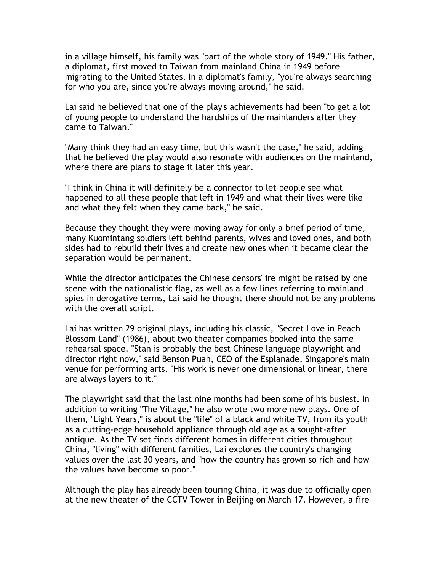in a village himself, his family was "part of the whole story of 1949." His father, a diplomat, first moved to Taiwan from mainland China in 1949 before migrating to the United States. In a diplomat's family, "you're always searching for who you are, since you're always moving around," he said.

Lai said he believed that one of the play's achievements had been "to get a lot of young people to understand the hardships of the mainlanders after they came to Taiwan."

"Many think they had an easy time, but this wasn't the case," he said, adding that he believed the play would also resonate with audiences on the mainland, where there are plans to stage it later this year.

"I think in China it will definitely be a connector to let people see what happened to all these people that left in 1949 and what their lives were like and what they felt when they came back," he said.

Because they thought they were moving away for only a brief period of time, many Kuomintang soldiers left behind parents, wives and loved ones, and both sides had to rebuild their lives and create new ones when it became clear the separation would be permanent.

While the director anticipates the Chinese censors' ire might be raised by one scene with the nationalistic flag, as well as a few lines referring to mainland spies in derogative terms, Lai said he thought there should not be any problems with the overall script.

Lai has written 29 original plays, including his classic, "Secret Love in Peach Blossom Land" (1986), about two theater companies booked into the same rehearsal space. "Stan is probably the best Chinese language playwright and director right now," said Benson Puah, CEO of the Esplanade, Singapore's main venue for performing arts. "His work is never one dimensional or linear, there are always layers to it."

The playwright said that the last nine months had been some of his busiest. In addition to writing "The Village," he also wrote two more new plays. One of them, "Light Years," is about the "life" of a black and white TV, from its youth as a cutting-edge household appliance through old age as a sought-after antique. As the TV set finds different homes in different cities throughout China, "living" with different families, Lai explores the country's changing values over the last 30 years, and "how the country has grown so rich and how the values have become so poor."

Although the play has already been touring China, it was due to officially open at the new theater of the CCTV Tower in Beijing on March 17. However, a fire